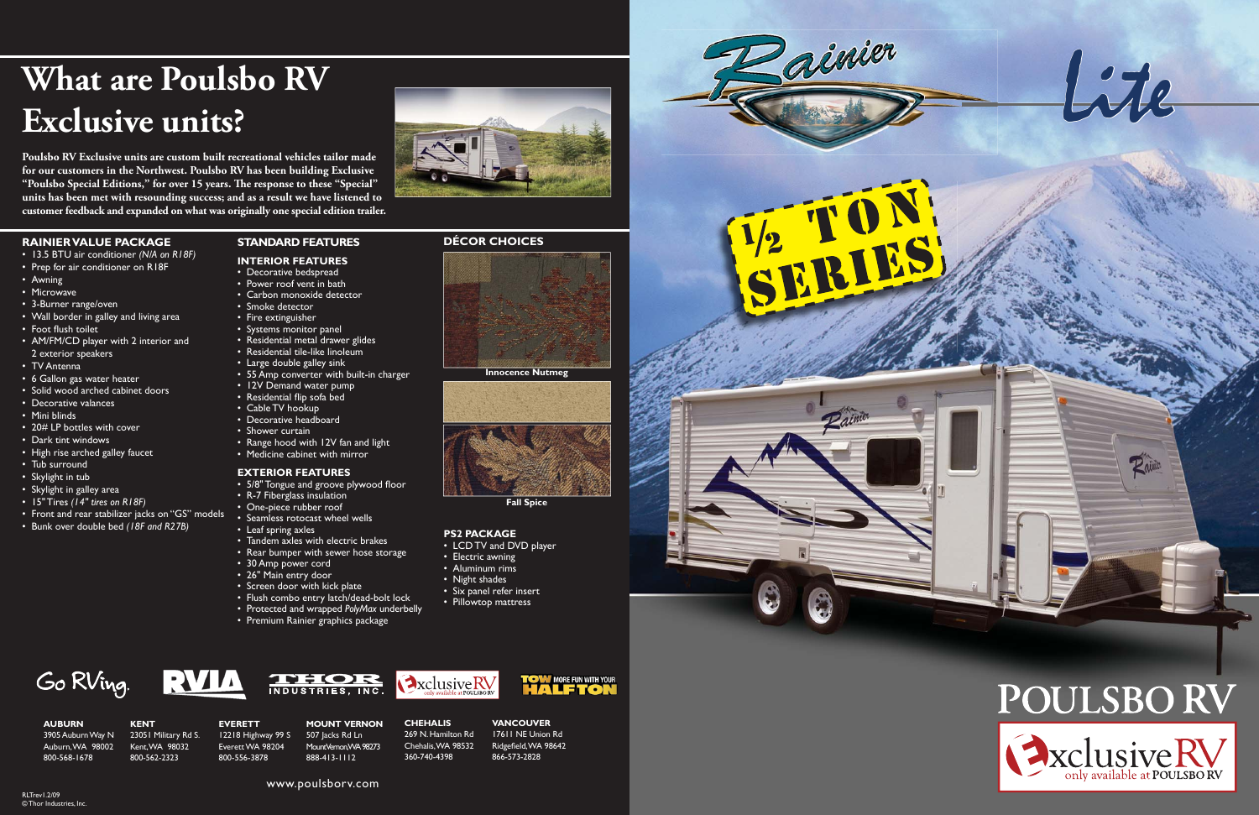





 $\n *D*$ 

**Poulsbo RV Exclusive units are custom built recreational vehicles tailor made for our customers in the Northwest. Poulsbo RV has been building Exclusive**  "Poulsbo Special Editions," for over 15 years. The response to these "Special" **units has been met with resounding success; and as a result we have listened to customer feedback and expanded on what was originally one special edition trailer.**



**AUBURN**3905 Auburn Way N Auburn, WA 98002 800-568-1678

**KENT**

23051 Military Rd S. Kent, WA 98032 800-562-2323

**EVERETT** 12218 Highway 99 S Everett WA 98204 800-556-3878





**CHEHALIS** 269 N. Hamilton Rd Chehalis, WA 98532 360-740-4398

Axclusive RV

**VANCOUVER**17611 NE Union RdRidgefield, WA 98642 866-573-2828

**TOW MORE FUN WITH YOUR** 

www.poulsborv.com

### **RAINIER VALUE PACKAGE**

- 13.5 BTU air conditioner *(N/A on R18F)*
- Prep for air conditioner on R18F
- Awning
- Microwave
- 3-Burner range/oven
- Wall border in galley and living area
- 
- Foot flush toilet
- AM/FM/CD player with 2 interior and 2 exterior speakers
- TV Antenna
- 6 Gallon gas water heater
- Solid wood arched cabinet doors
- Decorative valances
- Mini blinds
- 20# LP bottles with cover
- Dark tint windows
- High rise arched galley faucet
- Tub surround
- Skylight in tub
- Skylight in galley area
- 15" Tires *(14" tires on R18F)*
- Front and rear stabilizer jacks on "GS" models
- Bunk over double bed *(18F and R27B)*

# **STANDARD FEATURES**

- **INTERIOR FEATURES**• Decorative bedspread
- Power roof vent in bath
- Carbon monoxide detector
- Smoke detector
- Fire extinguisher
- Systems monitor panel
- Residential metal drawer glides
- Residential tile-like linoleum
- Large double galley sink
- 55 Amp converter with built-in charger
- 12V Demand water pump
- Residential flip sofa bed
- Cable TV hookup
- Decorative headboard
- Shower curtain
- Range hood with 12V fan and light • Medicine cabinet with mirror
- **EXTERIOR FEATURES**
- 5/8" Tongue and groove plywood floor
- R-7 Fiberglass insulation
- One-piece rubber roof
- Seamless rotocast wheel wells
- Leaf spring axles
- Tandem axles with electric brakes
- Rear bumper with sewer hose storage
- 30 Amp power cord
- 26" Main entry door
- Screen door with kick plate
- Flush combo entry latch/dead-bolt lock

**THOR** 

- Protected and wrapped *PolyMax* underbelly
- Premium Rainier graphics package
- 







**Innocence Nutmeg**





### **PS2 PACKAGE**

- LCD TV and DVD player
- Electric awning
- Aluminum rims
- Night shades
- Six panel refer insert
- Pillowtop mattress